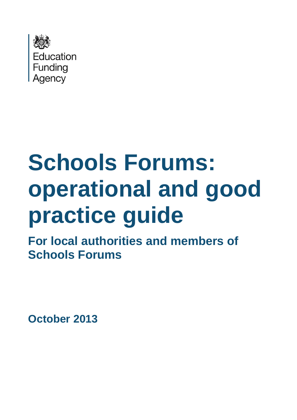

# **Schools Forums: operational and good practice guide**

**For local authorities and members of Schools Forums**

**October 2013**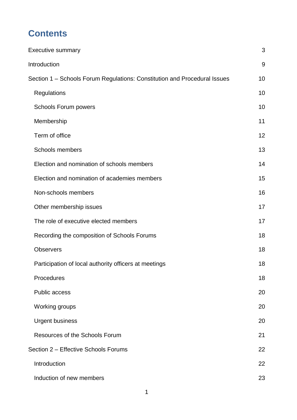# **Contents**

| <b>Executive summary</b>                                                  | 3  |
|---------------------------------------------------------------------------|----|
| Introduction                                                              | 9  |
| Section 1 – Schools Forum Regulations: Constitution and Procedural Issues | 10 |
| Regulations                                                               | 10 |
| <b>Schools Forum powers</b>                                               | 10 |
| Membership                                                                | 11 |
| Term of office                                                            | 12 |
| <b>Schools members</b>                                                    | 13 |
| Election and nomination of schools members                                | 14 |
| Election and nomination of academies members                              | 15 |
| Non-schools members                                                       | 16 |
| Other membership issues                                                   | 17 |
| The role of executive elected members                                     | 17 |
| Recording the composition of Schools Forums                               | 18 |
| <b>Observers</b>                                                          | 18 |
| Participation of local authority officers at meetings                     | 18 |
| Procedures                                                                | 18 |
| <b>Public access</b>                                                      | 20 |
| Working groups                                                            | 20 |
| <b>Urgent business</b>                                                    | 20 |
| Resources of the Schools Forum                                            | 21 |
| Section 2 - Effective Schools Forums                                      | 22 |
| Introduction                                                              | 22 |
| Induction of new members                                                  | 23 |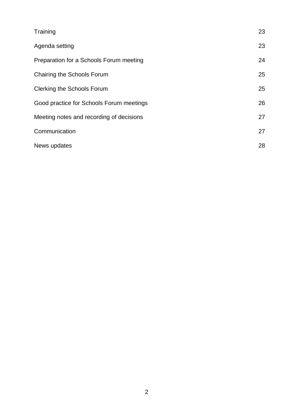| Training                                 | 23 |
|------------------------------------------|----|
| Agenda setting                           | 23 |
| Preparation for a Schools Forum meeting  | 24 |
| Chairing the Schools Forum               | 25 |
| <b>Clerking the Schools Forum</b>        | 25 |
| Good practice for Schools Forum meetings | 26 |
| Meeting notes and recording of decisions | 27 |
| Communication                            | 27 |
| News updates                             | 28 |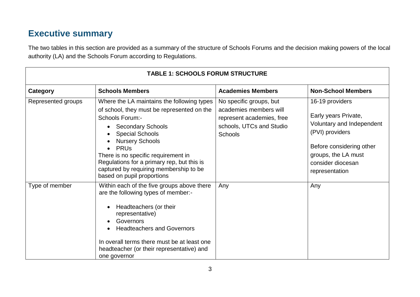# **Executive summary**

The two tables in this section are provided as a summary of the structure of Schools Forums and the decision making powers of the local authority (LA) and the Schools Forum according to Regulations.

<span id="page-3-0"></span>

| <b>TABLE 1: SCHOOLS FORUM STRUCTURE</b> |                                                                                                                                                                                                                                                                                                                                                                                           |                                                                                                                              |                                                                                                                                                                                   |  |
|-----------------------------------------|-------------------------------------------------------------------------------------------------------------------------------------------------------------------------------------------------------------------------------------------------------------------------------------------------------------------------------------------------------------------------------------------|------------------------------------------------------------------------------------------------------------------------------|-----------------------------------------------------------------------------------------------------------------------------------------------------------------------------------|--|
| Category                                | <b>Schools Members</b>                                                                                                                                                                                                                                                                                                                                                                    | <b>Academies Members</b>                                                                                                     | <b>Non-School Members</b>                                                                                                                                                         |  |
| Represented groups                      | Where the LA maintains the following types<br>of school, they must be represented on the<br><b>Schools Forum:-</b><br><b>Secondary Schools</b><br><b>Special Schools</b><br><b>Nursery Schools</b><br><b>PRU<sub>s</sub></b><br>There is no specific requirement in<br>Regulations for a primary rep, but this is<br>captured by requiring membership to be<br>based on pupil proportions | No specific groups, but<br>academies members will<br>represent academies, free<br>schools, UTCs and Studio<br><b>Schools</b> | 16-19 providers<br>Early years Private,<br>Voluntary and Independent<br>(PVI) providers<br>Before considering other<br>groups, the LA must<br>consider diocesan<br>representation |  |
| Type of member                          | Within each of the five groups above there<br>are the following types of member:-<br>Headteachers (or their<br>representative)<br>Governors<br><b>Headteachers and Governors</b><br>In overall terms there must be at least one<br>headteacher (or their representative) and<br>one governor                                                                                              | Any                                                                                                                          | Any                                                                                                                                                                               |  |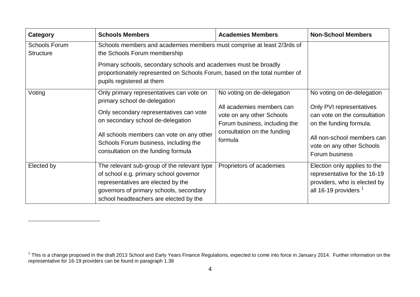| Category                                 | <b>Schools Members</b>                                                                                                                                                                                           | <b>Academies Members</b>                                                                | <b>Non-School Members</b>                                                                                                        |
|------------------------------------------|------------------------------------------------------------------------------------------------------------------------------------------------------------------------------------------------------------------|-----------------------------------------------------------------------------------------|----------------------------------------------------------------------------------------------------------------------------------|
| <b>Schools Forum</b><br><b>Structure</b> | Schools members and academies members must comprise at least 2/3rds of<br>the Schools Forum membership                                                                                                           |                                                                                         |                                                                                                                                  |
|                                          | Primary schools, secondary schools and academies must be broadly<br>proportionately represented on Schools Forum, based on the total number of<br>pupils registered at them                                      |                                                                                         |                                                                                                                                  |
| Voting                                   | Only primary representatives can vote on<br>primary school de-delegation                                                                                                                                         | No voting on de-delegation                                                              | No voting on de-delegation                                                                                                       |
|                                          | Only secondary representatives can vote<br>on secondary school de-delegation                                                                                                                                     | All academies members can<br>vote on any other Schools<br>Forum business, including the | Only PVI representatives<br>can vote on the consultation<br>on the funding formula.                                              |
|                                          | All schools members can vote on any other<br>Schools Forum business, including the<br>consultation on the funding formula                                                                                        | consultation on the funding<br>formula                                                  | All non-school members can<br>vote on any other Schools<br>Forum business                                                        |
| Elected by                               | The relevant sub-group of the relevant type<br>of school e.g. primary school governor<br>representatives are elected by the<br>governors of primary schools, secondary<br>school headteachers are elected by the | Proprietors of academies                                                                | Election only applies to the<br>representative for the 16-19<br>providers, who is elected by<br>all 16-19 providers <sup>1</sup> |

<u>.</u>

<sup>&</sup>lt;sup>1</sup> This is a change proposed in the draft 2013 School and Early Years Finance Regulations, expected to come into force in January 2014. Further information on the representative for 16-19 providers can be found in paragraph 1.38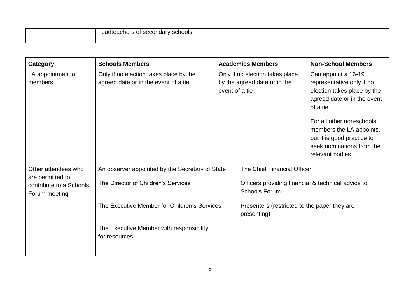| . .<br>∍r<br>noar<br>טטי.<br>лес<br>-au<br>161 S<br>-92<br>55<br>$\sim$<br>. . |  |
|--------------------------------------------------------------------------------|--|
|                                                                                |  |

| Category                                                     | <b>Schools Members</b>                                                         | <b>Academies Members</b>                                                          | <b>Non-School Members</b>                                                                                                                                                                                                                                         |
|--------------------------------------------------------------|--------------------------------------------------------------------------------|-----------------------------------------------------------------------------------|-------------------------------------------------------------------------------------------------------------------------------------------------------------------------------------------------------------------------------------------------------------------|
| LA appointment of<br>members                                 | Only if no election takes place by the<br>agreed date or in the event of a tie | Only if no election takes place<br>by the agreed date or in the<br>event of a tie | Can appoint a 16-19<br>representative only if no<br>election takes place by the<br>agreed date or in the event<br>of a tie<br>For all other non-schools<br>members the LA appoints,<br>but it is good practice to<br>seek nominations from the<br>relevant bodies |
| Other attendees who                                          | An observer appointed by the Secretary of State                                | The Chief Financial Officer                                                       |                                                                                                                                                                                                                                                                   |
| are permitted to<br>contribute to a Schools<br>Forum meeting | The Director of Children's Services                                            | Officers providing financial & technical advice to<br><b>Schools Forum</b>        |                                                                                                                                                                                                                                                                   |
|                                                              | The Executive Member for Children's Services                                   | Presenters (restricted to the paper they are<br>presenting)                       |                                                                                                                                                                                                                                                                   |
|                                                              | The Executive Member with responsibility<br>for resources                      |                                                                                   |                                                                                                                                                                                                                                                                   |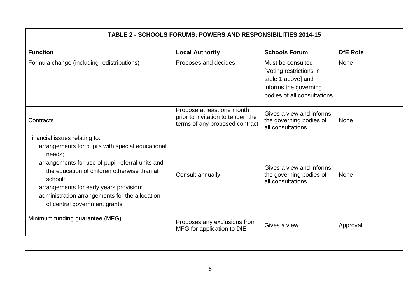| <b>TABLE 2 - SCHOOLS FORUMS: POWERS AND RESPONSIBILITIES 2014-15</b>                                                                                                                                                                                                                                                                   |                                                                                                    |                                                                                                                            |                 |
|----------------------------------------------------------------------------------------------------------------------------------------------------------------------------------------------------------------------------------------------------------------------------------------------------------------------------------------|----------------------------------------------------------------------------------------------------|----------------------------------------------------------------------------------------------------------------------------|-----------------|
| <b>Function</b>                                                                                                                                                                                                                                                                                                                        | <b>Local Authority</b>                                                                             | <b>Schools Forum</b>                                                                                                       | <b>DfE Role</b> |
| Formula change (including redistributions)                                                                                                                                                                                                                                                                                             | Proposes and decides                                                                               | Must be consulted<br>[Voting restrictions in<br>table 1 above] and<br>informs the governing<br>bodies of all consultations | <b>None</b>     |
| Contracts                                                                                                                                                                                                                                                                                                                              | Propose at least one month<br>prior to invitation to tender, the<br>terms of any proposed contract | Gives a view and informs<br>the governing bodies of<br>all consultations                                                   | <b>None</b>     |
| Financial issues relating to:<br>arrangements for pupils with special educational<br>needs;<br>arrangements for use of pupil referral units and<br>the education of children otherwise than at<br>school;<br>arrangements for early years provision;<br>administration arrangements for the allocation<br>of central government grants | Consult annually                                                                                   | Gives a view and informs<br>the governing bodies of<br>all consultations                                                   | <b>None</b>     |
| Minimum funding guarantee (MFG)                                                                                                                                                                                                                                                                                                        | Proposes any exclusions from<br>MFG for application to DfE                                         | Gives a view                                                                                                               | Approval        |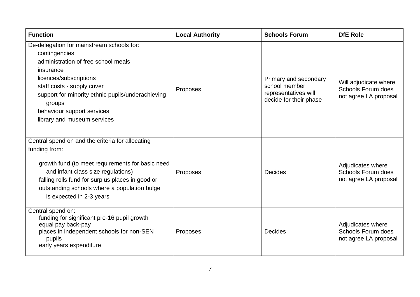| <b>Function</b>                                                                                                                                                                                                                                                                                    | <b>Local Authority</b> | <b>Schools Forum</b>                                                                     | <b>DfE Role</b>                                                      |
|----------------------------------------------------------------------------------------------------------------------------------------------------------------------------------------------------------------------------------------------------------------------------------------------------|------------------------|------------------------------------------------------------------------------------------|----------------------------------------------------------------------|
| De-delegation for mainstream schools for:<br>contingencies<br>administration of free school meals<br>insurance<br>licences/subscriptions<br>staff costs - supply cover<br>support for minority ethnic pupils/underachieving<br>groups<br>behaviour support services<br>library and museum services | Proposes               | Primary and secondary<br>school member<br>representatives will<br>decide for their phase | Will adjudicate where<br>Schools Forum does<br>not agree LA proposal |
| Central spend on and the criteria for allocating<br>funding from:<br>growth fund (to meet requirements for basic need<br>and infant class size regulations)<br>falling rolls fund for surplus places in good or<br>outstanding schools where a population bulge<br>is expected in 2-3 years        | Proposes               | Decides                                                                                  | Adjudicates where<br>Schools Forum does<br>not agree LA proposal     |
| Central spend on:<br>funding for significant pre-16 pupil growth<br>equal pay back-pay<br>places in independent schools for non-SEN<br>pupils<br>early years expenditure                                                                                                                           | Proposes               | <b>Decides</b>                                                                           | Adjudicates where<br>Schools Forum does<br>not agree LA proposal     |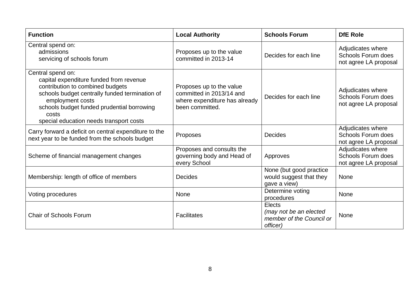| <b>Function</b>                                                                                                                                                                                                                                                          | <b>Local Authority</b>                                                                                   | <b>Schools Forum</b>                                                     | <b>DfE Role</b>                                                  |
|--------------------------------------------------------------------------------------------------------------------------------------------------------------------------------------------------------------------------------------------------------------------------|----------------------------------------------------------------------------------------------------------|--------------------------------------------------------------------------|------------------------------------------------------------------|
| Central spend on:<br>admissions<br>servicing of schools forum                                                                                                                                                                                                            | Proposes up to the value<br>committed in 2013-14                                                         | Decides for each line                                                    | Adjudicates where<br>Schools Forum does<br>not agree LA proposal |
| Central spend on:<br>capital expenditure funded from revenue<br>contribution to combined budgets<br>schools budget centrally funded termination of<br>employment costs<br>schools budget funded prudential borrowing<br>costs<br>special education needs transport costs | Proposes up to the value<br>committed in 2013/14 and<br>where expenditure has already<br>been committed. | Decides for each line                                                    | Adjudicates where<br>Schools Forum does<br>not agree LA proposal |
| Carry forward a deficit on central expenditure to the<br>next year to be funded from the schools budget                                                                                                                                                                  | Proposes                                                                                                 | <b>Decides</b>                                                           | Adjudicates where<br>Schools Forum does<br>not agree LA proposal |
| Scheme of financial management changes                                                                                                                                                                                                                                   | Proposes and consults the<br>governing body and Head of<br>every School                                  | Approves                                                                 | Adjudicates where<br>Schools Forum does<br>not agree LA proposal |
| Membership: length of office of members                                                                                                                                                                                                                                  | <b>Decides</b>                                                                                           | None (but good practice<br>would suggest that they<br>gave a view)       | <b>None</b>                                                      |
| Voting procedures                                                                                                                                                                                                                                                        | <b>None</b>                                                                                              | Determine voting<br>procedures                                           | <b>None</b>                                                      |
| <b>Chair of Schools Forum</b>                                                                                                                                                                                                                                            | <b>Facilitates</b>                                                                                       | Elects<br>(may not be an elected<br>member of the Council or<br>officer) | <b>None</b>                                                      |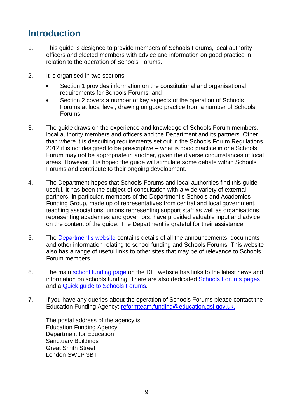# <span id="page-9-0"></span>**Introduction**

- 1. This guide is designed to provide members of Schools Forums, local authority officers and elected members with advice and information on good practice in relation to the operation of Schools Forums.
- 2. It is organised in two sections:
	- Section 1 provides information on the constitutional and organisational requirements for Schools Forums; and
	- Section 2 covers a number of key aspects of the operation of Schools Forums at local level, drawing on good practice from a number of Schools Forums.
- 3. The guide draws on the experience and knowledge of Schools Forum members, local authority members and officers and the Department and its partners. Other than where it is describing requirements set out in the Schools Forum Regulations 2012 it is not designed to be prescriptive – what is good practice in one Schools Forum may not be appropriate in another, given the diverse circumstances of local areas. However, it is hoped the guide will stimulate some debate within Schools Forums and contribute to their ongoing development.
- 4. The Department hopes that Schools Forums and local authorities find this guide useful. It has been the subject of consultation with a wide variety of external partners. In particular, members of the Department's Schools and Academies Funding Group, made up of representatives from central and local government, teaching associations, unions representing support staff as well as organisations representing academies and governors, have provided valuable input and advice on the content of the guide. The Department is grateful for their assistance.
- 5. The [Department's website](http://www.education.gov.uk/) contains details of all the announcements, documents and other information relating to school funding and Schools Forums. This website also has a range of useful links to other sites that may be of relevance to Schools Forum members.
- 6. The main [school funding page](http://www.education.gov.uk/schools/adminandfinance/financialmanagement/schoolsrevenuefunding) on the DfE website has links to the latest news and information on schools funding. There are also dedicated [Schools Forums pages](http://www.education.gov.uk/schools/adminandfinance/financialmanagement/schoolsrevenuefunding/schoolsforums) and a [Quick guide to Schools Forums](https://www.gov.uk/government/publications/schools-forum-a-guide-for-schools-and-academies).
- 7. If you have any queries about the operation of Schools Forums please contact the Education Funding Agency: [reformteam.funding@education.gsi.gov.uk.](mailto:reformteam.funding@education.gsi.gov.uk)

The postal address of the agency is: Education Funding Agency Department for Education Sanctuary Buildings Great Smith Street London SW1P 3BT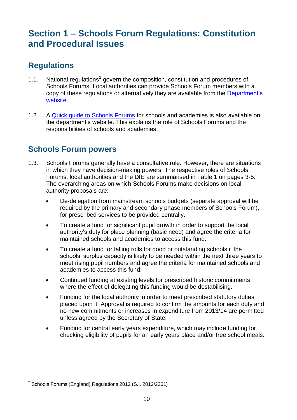# <span id="page-10-0"></span>**Section 1 – Schools Forum Regulations: Constitution and Procedural Issues**

# <span id="page-10-1"></span>**Regulations**

- 1.1. National regulations<sup>2</sup> govern the composition, constitution and procedures of Schools Forums. Local authorities can provide Schools Forum members with a copy of these regulations or alternatively they are available from the [Department's](http://www.education.gov.uk/schools/adminandfinance/financialmanagement/schoolsrevenuefunding/schoolsforums/a00213728/schools-forums-england-regs-2012)  [website.](http://www.education.gov.uk/schools/adminandfinance/financialmanagement/schoolsrevenuefunding/schoolsforums/a00213728/schools-forums-england-regs-2012)
- 1.2. A Quick quide to Schools Forums for schools and academies is also available on the department's website. This explains the role of Schools Forums and the responsibilities of schools and academies.

# <span id="page-10-2"></span>**Schools Forum powers**

- 1.3. Schools Forums generally have a consultative role. However, there are situations in which they have decision-making powers. The respective roles of Schools Forums, local authorities and the DfE are summarised in Table 1 on pages 3-5. The overarching areas on which Schools Forums make decisions on local authority proposals are:
	- De-delegation from mainstream schools budgets (separate approval will be required by the primary and secondary phase members of Schools Forum), for prescribed services to be provided centrally.
	- To create a fund for significant pupil growth in order to support the local authority's duty for place planning (basic need) and agree the criteria for maintained schools and academies to access this fund.
	- To create a fund for falling rolls for good or outstanding schools if the schools' surplus capacity is likely to be needed within the next three years to meet rising pupil numbers and agree the criteria for maintained schools and academies to access this fund.
	- Continued funding at existing levels for prescribed historic commitments where the effect of delegating this funding would be destabilising.
	- Funding for the local authority in order to meet prescribed statutory duties placed upon it. Approval is required to confirm the amounts for each duty and no new commitments or increases in expenditure from 2013/14 are permitted unless agreed by the Secretary of State.
	- Funding for central early years expenditure, which may include funding for checking eligibility of pupils for an early years place and/or free school meals.

<u>.</u>

 $2$  Schools Forums (England) Regulations 2012 (S.I. 2012/2261)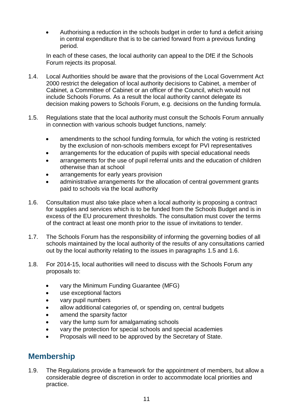Authorising a reduction in the schools budget in order to fund a deficit arising in central expenditure that is to be carried forward from a previous funding period.

In each of these cases, the local authority can appeal to the DfE if the Schools Forum rejects its proposal.

- 1.4. Local Authorities should be aware that the provisions of the Local Government Act 2000 restrict the delegation of local authority decisions to Cabinet, a member of Cabinet, a Committee of Cabinet or an officer of the Council, which would not include Schools Forums. As a result the local authority cannot delegate its decision making powers to Schools Forum, e.g. decisions on the funding formula.
- 1.5. Regulations state that the local authority must consult the Schools Forum annually in connection with various schools budget functions, namely:
	- amendments to the school funding formula, for which the voting is restricted by the exclusion of non-schools members except for PVI representatives
	- arrangements for the education of pupils with special educational needs
	- arrangements for the use of pupil referral units and the education of children otherwise than at school
	- arrangements for early years provision
	- administrative arrangements for the allocation of central government grants paid to schools via the local authority
- 1.6. Consultation must also take place when a local authority is proposing a contract for supplies and services which is to be funded from the Schools Budget and is in excess of the EU procurement thresholds. The consultation must cover the terms of the contract at least one month prior to the issue of invitations to tender.
- 1.7. The Schools Forum has the responsibility of informing the governing bodies of all schools maintained by the local authority of the results of any consultations carried out by the local authority relating to the issues in paragraphs 1.5 and 1.6.
- 1.8. For 2014-15, local authorities will need to discuss with the Schools Forum any proposals to:
	- vary the Minimum Funding Guarantee (MFG)
	- use exceptional factors
	- vary pupil numbers
	- allow additional categories of, or spending on, central budgets
	- amend the sparsity factor
	- vary the lump sum for amalgamating schools
	- vary the protection for special schools and special academies
	- Proposals will need to be approved by the Secretary of State.

# <span id="page-11-0"></span>**Membership**

1.9. The Regulations provide a framework for the appointment of members, but allow a considerable degree of discretion in order to accommodate local priorities and practice.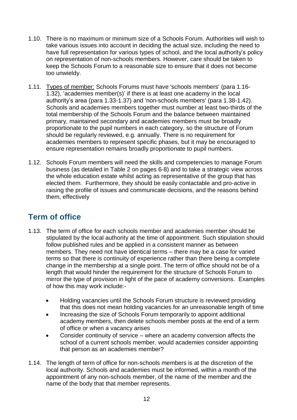- 1.10. There is no maximum or minimum size of a Schools Forum. Authorities will wish to take various issues into account in deciding the actual size, including the need to have full representation for various types of school, and the local authority's policy on representation of non-schools members. However, care should be taken to keep the Schools Forum to a reasonable size to ensure that it does not become too unwieldy.
- 1.11. Types of member: Schools Forums must have 'schools members' (para 1.16- 1.32), 'academies member(s)' if there is at least one academy in the local authority's area (para 1.33-1.37) and 'non-schools members' (para 1.38-1.42). Schools and academies members together must number at least two-thirds of the total membership of the Schools Forum and the balance between maintained primary, maintained secondary and academies members must be broadly proportionate to the pupil numbers in each category, so the structure of Forum should be regularly reviewed, e.g. annually. There is no requirement for academies members to represent specific phases, but it may be encouraged to ensure representation remains broadly proportionate to pupil numbers.
- 1.12. Schools Forum members will need the skills and competencies to manage Forum business (as detailed in Table 2 on pages 6-8) and to take a strategic view across the whole education estate whilst acting as representative of the group that has elected them. Furthermore, they should be easily contactable and pro-active in raising the profile of issues and communicate decisions, and the reasons behind them, effectively

# <span id="page-12-0"></span>**Term of office**

- 1.13. The term of office for each schools member and academies member should be stipulated by the local authority at the time of appointment. Such stipulation should follow published rules and be applied in a consistent manner as between members. They need not have identical terms – there may be a case for varied terms so that there is continuity of experience rather than there being a complete change in the membership at a single point. The term of office should not be of a length that would hinder the requirement for the structure of Schools Forum to mirror the type of provision in light of the pace of academy conversions. Examples of how this may work include:-
	- Holding vacancies until the Schools Forum structure is reviewed providing that this does not mean holding vacancies for an unreasonable length of time
	- Increasing the size of Schools Forum temporarily to appoint additional academy members, then delete schools member posts at the end of a term of office or when a vacancy arises
	- Consider continuity of service where an academy conversion affects the school of a current schools member, would academies consider appointing that person as an academies member?
- 1.14. The length of term of office for non-schools members is at the discretion of the local authority. Schools and academies must be informed, within a month of the appointment of any non-schools member, of the name of the member and the name of the body that that member represents.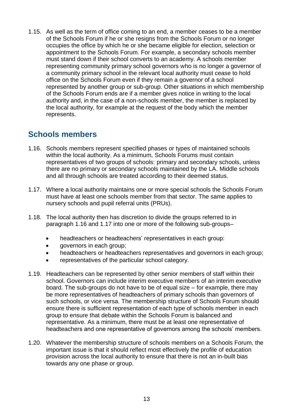1.15. As well as the term of office coming to an end, a member ceases to be a member of the Schools Forum if he or she resigns from the Schools Forum or no longer occupies the office by which he or she became eligible for election, selection or appointment to the Schools Forum. For example, a secondary schools member must stand down if their school converts to an academy. A schools member representing community primary school governors who is no longer a governor of a community primary school in the relevant local authority must cease to hold office on the Schools Forum even if they remain a governor of a school represented by another group or sub-group. Other situations in which membership of the Schools Forum ends are if a member gives notice in writing to the local authority and, in the case of a non-schools member, the member is replaced by the local authority, for example at the request of the body which the member represents.

# <span id="page-13-0"></span>**Schools members**

- 1.16. Schools members represent specified phases or types of maintained schools within the local authority. As a minimum, Schools Forums must contain representatives of two groups of schools: primary and secondary schools, unless there are no primary or secondary schools maintained by the LA. Middle schools and all through schools are treated according to their deemed status.
- 1.17. Where a local authority maintains one or more special schools the Schools Forum must have at least one schools member from that sector. The same applies to nursery schools and pupil referral units (PRUs).
- 1.18. The local authority then has discretion to divide the groups referred to in paragraph 1.16 and 1.17 into one or more of the following sub-groups–
	- headteachers or headteachers' representatives in each group:
	- governors in each group;
	- headteachers or headteachers representatives and governors in each group;
	- representatives of the particular school category.
- 1.19. Headteachers can be represented by other senior members of staff within their school. Governors can include interim executive members of an interim executive board. The sub-groups do not have to be of equal size – for example, there may be more representatives of headteachers of primary schools than governors of such schools, or vice versa. The membership structure of Schools Forum should ensure there is sufficient representation of each type of schools member in each group to ensure that debate within the Schools Forum is balanced and representative. As a minimum, there must be at least one representative of headteachers and one representative of governors among the schools' members.
- 1.20. Whatever the membership structure of schools members on a Schools Forum, the important issue is that it should reflect most effectively the profile of education provision across the local authority to ensure that there is not an in-built bias towards any one phase or group.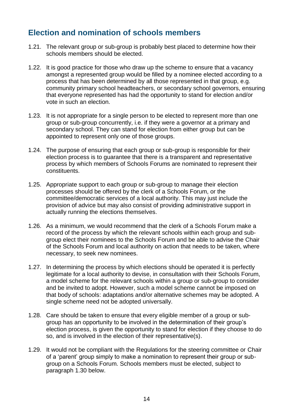#### <span id="page-14-0"></span>**Election and nomination of schools members**

- 1.21. The relevant group or sub-group is probably best placed to determine how their schools members should be elected.
- 1.22. It is good practice for those who draw up the scheme to ensure that a vacancy amongst a represented group would be filled by a nominee elected according to a process that has been determined by all those represented in that group, e.g. community primary school headteachers, or secondary school governors, ensuring that everyone represented has had the opportunity to stand for election and/or vote in such an election.
- 1.23. It is not appropriate for a single person to be elected to represent more than one group or sub-group concurrently, i.e. if they were a governor at a primary and secondary school. They can stand for election from either group but can be appointed to represent only one of those groups.
- 1.24. The purpose of ensuring that each group or sub-group is responsible for their election process is to guarantee that there is a transparent and representative process by which members of Schools Forums are nominated to represent their constituents.
- 1.25. Appropriate support to each group or sub-group to manage their election processes should be offered by the clerk of a Schools Forum, or the committee/democratic services of a local authority. This may just include the provision of advice but may also consist of providing administrative support in actually running the elections themselves.
- 1.26. As a minimum, we would recommend that the clerk of a Schools Forum make a record of the process by which the relevant schools within each group and subgroup elect their nominees to the Schools Forum and be able to advise the Chair of the Schools Forum and local authority on action that needs to be taken, where necessary, to seek new nominees.
- 1.27. In determining the process by which elections should be operated it is perfectly legitimate for a local authority to devise, in consultation with their Schools Forum, a model scheme for the relevant schools within a group or sub-group to consider and be invited to adopt. However, such a model scheme cannot be imposed on that body of schools: adaptations and/or alternative schemes may be adopted. A single scheme need not be adopted universally.
- 1.28. Care should be taken to ensure that every eligible member of a group or subgroup has an opportunity to be involved in the determination of their group's election process, is given the opportunity to stand for election if they choose to do so, and is involved in the election of their representative(s).
- 1.29. It would not be compliant with the Regulations for the steering committee or Chair of a 'parent' group simply to make a nomination to represent their group or subgroup on a Schools Forum. Schools members must be elected, subject to paragraph 1.30 below.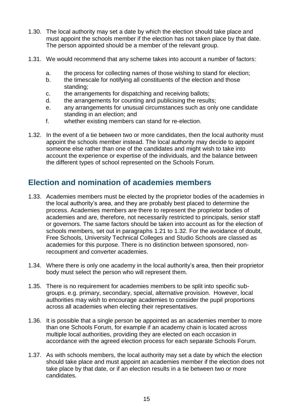- 1.30. The local authority may set a date by which the election should take place and must appoint the schools member if the election has not taken place by that date. The person appointed should be a member of the relevant group.
- 1.31. We would recommend that any scheme takes into account a number of factors:
	- a. the process for collecting names of those wishing to stand for election;
	- b. the timescale for notifying all constituents of the election and those standing;
	- c. the arrangements for dispatching and receiving ballots;
	- d. the arrangements for counting and publicising the results;
	- e. any arrangements for unusual circumstances such as only one candidate standing in an election; and
	- f. whether existing members can stand for re-election.
- 1.32. In the event of a tie between two or more candidates, then the local authority must appoint the schools member instead. The local authority may decide to appoint someone else rather than one of the candidates and might wish to take into account the experience or expertise of the individuals, and the balance between the different types of school represented on the Schools Forum.

#### <span id="page-15-0"></span>**Election and nomination of academies members**

- 1.33. Academies members must be elected by the proprietor bodies of the academies in the local authority's area, and they are probably best placed to determine the process. Academies members are there to represent the proprietor bodies of academies and are, therefore, not necessarily restricted to principals, senior staff or governors. The same factors should be taken into account as for the election of schools members, set out in paragraphs 1.21 to 1.32. For the avoidance of doubt, Free Schools, University Technical Colleges and Studio Schools are classed as academies for this purpose. There is no distinction between sponsored, nonrecoupment and converter academies.
- 1.34. Where there is only one academy in the local authority's area, then their proprietor body must select the person who will represent them.
- 1.35. There is no requirement for academies members to be split into specific subgroups. e.g. primary, secondary, special, alternative provision. However, local authorities may wish to encourage academies to consider the pupil proportions across all academies when electing their representatives.
- 1.36. It is possible that a single person be appointed as an academies member to more than one Schools Forum, for example if an academy chain is located across multiple local authorities, providing they are elected on each occasion in accordance with the agreed election process for each separate Schools Forum.
- 1.37. As with schools members, the local authority may set a date by which the election should take place and must appoint an academies member if the election does not take place by that date, or if an election results in a tie between two or more candidates.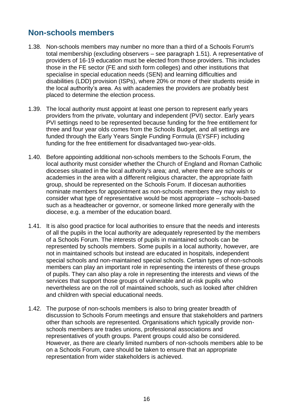# <span id="page-16-0"></span>**Non-schools members**

- 1.38. Non-schools members may number no more than a third of a Schools Forum's total membership (excluding observers – see paragraph 1.51). A representative of providers of 16-19 education must be elected from those providers. This includes those in the FE sector (FE and sixth form colleges) and other institutions that specialise in special education needs (SEN) and learning difficulties and disabilities (LDD) provision (ISPs), where 20% or more of their students reside in the local authority's area. As with academies the providers are probably best placed to determine the election process.
- 1.39. The local authority must appoint at least one person to represent early years providers from the private, voluntary and independent (PVI) sector. Early years PVI settings need to be represented because funding for the free entitlement for three and four year olds comes from the Schools Budget, and all settings are funded through the Early Years Single Funding Formula (EYSFF) including funding for the free entitlement for disadvantaged two-year-olds.
- 1.40. Before appointing additional non-schools members to the Schools Forum, the local authority must consider whether the Church of England and Roman Catholic dioceses situated in the local authority's area; and, where there are schools or academies in the area with a different religious character, the appropriate faith group, should be represented on the Schools Forum. If diocesan authorities nominate members for appointment as non-schools members they may wish to consider what type of representative would be most appropriate – schools-based such as a headteacher or governor, or someone linked more generally with the diocese, e.g. a member of the education board.
- 1.41. It is also good practice for local authorities to ensure that the needs and interests of all the pupils in the local authority are adequately represented by the members of a Schools Forum. The interests of pupils in maintained schools can be represented by schools members. Some pupils in a local authority, however, are not in maintained schools but instead are educated in hospitals, independent special schools and non-maintained special schools. Certain types of non-schools members can play an important role in representing the interests of these groups of pupils. They can also play a role in representing the interests and views of the services that support those groups of vulnerable and at-risk pupils who nevertheless are on the roll of maintained schools, such as looked after children and children with special educational needs.
- 1.42. The purpose of non-schools members is also to bring greater breadth of discussion to Schools Forum meetings and ensure that stakeholders and partners other than schools are represented. Organisations which typically provide nonschools members are trades unions, professional associations and representatives of youth groups. Parent groups could also be considered. However, as there are clearly limited numbers of non-schools members able to be on a Schools Forum, care should be taken to ensure that an appropriate representation from wider stakeholders is achieved.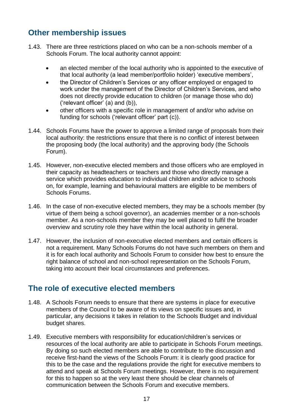# <span id="page-17-0"></span>**Other membership issues**

- 1.43. There are three restrictions placed on who can be a non-schools member of a Schools Forum. The local authority cannot appoint:
	- an elected member of the local authority who is appointed to the executive of that local authority (a lead member/portfolio holder) 'executive members',
	- the Director of Children's Services or any officer employed or engaged to work under the management of the Director of Children's Services, and who does not directly provide education to children (or manage those who do) ('relevant officer' (a) and (b)),
	- other officers with a specific role in management of and/or who advise on funding for schools ('relevant officer' part (c)).
- 1.44. Schools Forums have the power to approve a limited range of proposals from their local authority: the restrictions ensure that there is no conflict of interest between the proposing body (the local authority) and the approving body (the Schools Forum).
- 1.45. However, non-executive elected members and those officers who are employed in their capacity as headteachers or teachers and those who directly manage a service which provides education to individual children and/or advice to schools on, for example, learning and behavioural matters are eligible to be members of Schools Forums.
- 1.46. In the case of non-executive elected members, they may be a schools member (by virtue of them being a school governor), an academies member or a non-schools member. As a non-schools member they may be well placed to fulfil the broader overview and scrutiny role they have within the local authority in general.
- 1.47. However, the inclusion of non-executive elected members and certain officers is not a requirement. Many Schools Forums do not have such members on them and it is for each local authority and Schools Forum to consider how best to ensure the right balance of school and non-school representation on the Schools Forum, taking into account their local circumstances and preferences.

# <span id="page-17-1"></span>**The role of executive elected members**

- 1.48. A Schools Forum needs to ensure that there are systems in place for executive members of the Council to be aware of its views on specific issues and, in particular, any decisions it takes in relation to the Schools Budget and individual budget shares.
- 1.49. Executive members with responsibility for education/children's services or resources of the local authority are able to participate in Schools Forum meetings. By doing so such elected members are able to contribute to the discussion and receive first-hand the views of the Schools Forum: it is clearly good practice for this to be the case and the regulations provide the right for executive members to attend and speak at Schools Forum meetings. However, there is no requirement for this to happen so at the very least there should be clear channels of communication between the Schools Forum and executive members.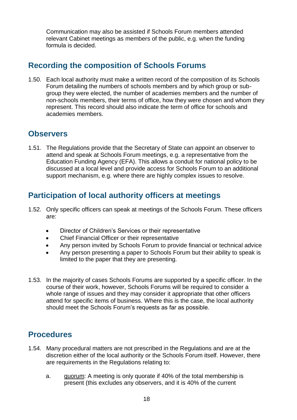Communication may also be assisted if Schools Forum members attended relevant Cabinet meetings as members of the public, e.g. when the funding formula is decided.

#### <span id="page-18-0"></span>**Recording the composition of Schools Forums**

1.50. Each local authority must make a written record of the composition of its Schools Forum detailing the numbers of schools members and by which group or subgroup they were elected, the number of academies members and the number of non-schools members, their terms of office, how they were chosen and whom they represent. This record should also indicate the term of office for schools and academies members.

#### <span id="page-18-1"></span>**Observers**

1.51. The Regulations provide that the Secretary of State can appoint an observer to attend and speak at Schools Forum meetings, e.g. a representative from the Education Funding Agency (EFA). This allows a conduit for national policy to be discussed at a local level and provide access for Schools Forum to an additional support mechanism, e.g. where there are highly complex issues to resolve.

#### <span id="page-18-2"></span>**Participation of local authority officers at meetings**

- 1.52. Only specific officers can speak at meetings of the Schools Forum. These officers are:
	- Director of Children's Services or their representative
	- Chief Financial Officer or their representative
	- Any person invited by Schools Forum to provide financial or technical advice
	- Any person presenting a paper to Schools Forum but their ability to speak is limited to the paper that they are presenting.
- 1.53. In the majority of cases Schools Forums are supported by a specific officer. In the course of their work, however, Schools Forums will be required to consider a whole range of issues and they may consider it appropriate that other officers attend for specific items of business. Where this is the case, the local authority should meet the Schools Forum's requests as far as possible.

#### <span id="page-18-3"></span>**Procedures**

- 1.54. Many procedural matters are not prescribed in the Regulations and are at the discretion either of the local authority or the Schools Forum itself. However, there are requirements in the Regulations relating to:
	- a. quorum: A meeting is only quorate if 40% of the total membership is present (this excludes any observers, and it is 40% of the current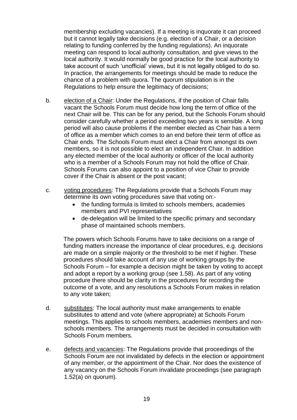membership excluding vacancies). If a meeting is inquorate it can proceed but it cannot legally take decisions (e.g. election of a Chair, or a decision relating to funding conferred by the funding regulations). An inquorate meeting can respond to local authority consultation, and give views to the local authority. It would normally be good practice for the local authority to take account of such 'unofficial' views, but it is not legally obliged to do so. In practice, the arrangements for meetings should be made to reduce the chance of a problem with quora. The quorum stipulation is in the Regulations to help ensure the legitimacy of decisions;

- b. election of a Chair: Under the Regulations, if the position of Chair falls vacant the Schools Forum must decide how long the term of office of the next Chair will be. This can be for any period, but the Schools Forum should consider carefully whether a period exceeding two years is sensible. A long period will also cause problems if the member elected as Chair has a term of office as a member which comes to an end before their term of office as Chair ends. The Schools Forum must elect a Chair from amongst its own members, so it is not possible to elect an independent Chair. In addition any elected member of the local authority or officer of the local authority who is a member of a Schools Forum may not hold the office of Chair. Schools Forums can also appoint to a position of vice Chair to provide cover if the Chair is absent or the post vacant;
- c. voting procedures: The Regulations provide that a Schools Forum may determine its own voting procedures save that voting on:-
	- the funding formula is limited to schools members, academies members and PVI representatives
	- de-delegation will be limited to the specific primary and secondary phase of maintained schools members.

The powers which Schools Forums have to take decisions on a range of funding matters increase the importance of clear procedures, e.g. decisions are made on a simple majority or the threshold to be met if higher. These procedures should take account of any use of working groups by the Schools Forum – for example a decision might be taken by voting to accept and adopt a report by a working group (see 1.58). As part of any voting procedure there should be clarity in the procedures for recording the outcome of a vote, and any resolutions a Schools Forum makes in relation to any vote taken;

- d. substitutes: The local authority must make arrangements to enable substitutes to attend and vote (where appropriate) at Schools Forum meetings. This applies to schools members, academies members and nonschools members. The arrangements must be decided in consultation with Schools Forum members.
- e. defects and vacancies: The Regulations provide that proceedings of the Schools Forum are not invalidated by defects in the election or appointment of any member, or the appointment of the Chair. Nor does the existence of any vacancy on the Schools Forum invalidate proceedings (see paragraph 1.52(a) on quorum).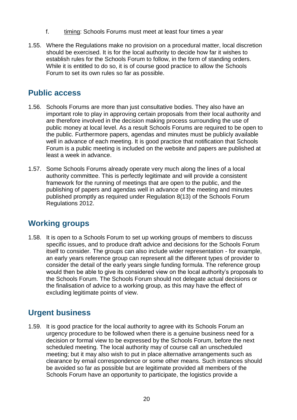- f. timing: Schools Forums must meet at least four times a year
- 1.55. Where the Regulations make no provision on a procedural matter, local discretion should be exercised. It is for the local authority to decide how far it wishes to establish rules for the Schools Forum to follow, in the form of standing orders. While it is entitled to do so, it is of course good practice to allow the Schools Forum to set its own rules so far as possible.

#### <span id="page-20-0"></span>**Public access**

- 1.56. Schools Forums are more than just consultative bodies. They also have an important role to play in approving certain proposals from their local authority and are therefore involved in the decision making process surrounding the use of public money at local level. As a result Schools Forums are required to be open to the public. Furthermore papers, agendas and minutes must be publicly available well in advance of each meeting. It is good practice that notification that Schools Forum is a public meeting is included on the website and papers are published at least a week in advance.
- 1.57. Some Schools Forums already operate very much along the lines of a local authority committee. This is perfectly legitimate and will provide a consistent framework for the running of meetings that are open to the public, and the publishing of papers and agendas well in advance of the meeting and minutes published promptly as required under Regulation 8(13) of the Schools Forum Regulations 2012.

# <span id="page-20-1"></span>**Working groups**

1.58. It is open to a Schools Forum to set up working groups of members to discuss specific issues, and to produce draft advice and decisions for the Schools Forum itself to consider. The groups can also include wider representation - for example, an early years reference group can represent all the different types of provider to consider the detail of the early years single funding formula. The reference group would then be able to give its considered view on the local authority's proposals to the Schools Forum. The Schools Forum should not delegate actual decisions or the finalisation of advice to a working group, as this may have the effect of excluding legitimate points of view.

# <span id="page-20-2"></span>**Urgent business**

1.59. It is good practice for the local authority to agree with its Schools Forum an urgency procedure to be followed when there is a genuine business need for a decision or formal view to be expressed by the Schools Forum, before the next scheduled meeting. The local authority may of course call an unscheduled meeting; but it may also wish to put in place alternative arrangements such as clearance by email correspondence or some other means. Such instances should be avoided so far as possible but are legitimate provided all members of the Schools Forum have an opportunity to participate, the logistics provide a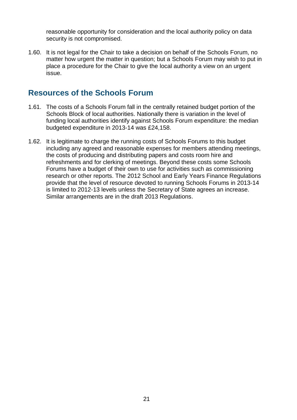reasonable opportunity for consideration and the local authority policy on data security is not compromised.

1.60. It is not legal for the Chair to take a decision on behalf of the Schools Forum, no matter how urgent the matter in question; but a Schools Forum may wish to put in place a procedure for the Chair to give the local authority a view on an urgent issue.

#### <span id="page-21-0"></span>**Resources of the Schools Forum**

- 1.61. The costs of a Schools Forum fall in the centrally retained budget portion of the Schools Block of local authorities. Nationally there is variation in the level of funding local authorities identify against Schools Forum expenditure: the median budgeted expenditure in 2013-14 was £24,158.
- 1.62. It is legitimate to charge the running costs of Schools Forums to this budget including any agreed and reasonable expenses for members attending meetings, the costs of producing and distributing papers and costs room hire and refreshments and for clerking of meetings. Beyond these costs some Schools Forums have a budget of their own to use for activities such as commissioning research or other reports. The 2012 School and Early Years Finance Regulations provide that the level of resource devoted to running Schools Forums in 2013-14 is limited to 2012-13 levels unless the Secretary of State agrees an increase. Similar arrangements are in the draft 2013 Regulations.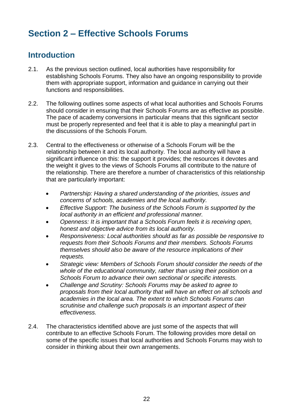# <span id="page-22-0"></span>**Section 2 – Effective Schools Forums**

#### <span id="page-22-1"></span>**Introduction**

- 2.1. As the previous section outlined, local authorities have responsibility for establishing Schools Forums. They also have an ongoing responsibility to provide them with appropriate support, information and guidance in carrying out their functions and responsibilities.
- 2.2. The following outlines some aspects of what local authorities and Schools Forums should consider in ensuring that their Schools Forums are as effective as possible. The pace of academy conversions in particular means that this significant sector must be properly represented and feel that it is able to play a meaningful part in the discussions of the Schools Forum.
- 2.3. Central to the effectiveness or otherwise of a Schools Forum will be the relationship between it and its local authority. The local authority will have a significant influence on this: the support it provides; the resources it devotes and the weight it gives to the views of Schools Forums all contribute to the nature of the relationship. There are therefore a number of characteristics of this relationship that are particularly important:
	- *Partnership: Having a shared understanding of the priorities, issues and concerns of schools, academies and the local authority.*
	- *Effective Support: The business of the Schools Forum is supported by the local authority in an efficient and professional manner.*
	- *Openness: It is important that a Schools Forum feels it is receiving open, honest and objective advice from its local authority.*
	- *Responsiveness: Local authorities should as far as possible be responsive to requests from their Schools Forums and their members. Schools Forums themselves should also be aware of the resource implications of their requests.*
	- *Strategic view: Members of Schools Forum should consider the needs of the whole of the educational community, rather than using their position on a Schools Forum to advance their own sectional or specific interests.*
	- *Challenge and Scrutiny: Schools Forums may be asked to agree to proposals from their local authority that will have an effect on all schools and academies in the local area. The extent to which Schools Forums can scrutinise and challenge such proposals is an important aspect of their effectiveness.*
- 2.4. The characteristics identified above are just some of the aspects that will contribute to an effective Schools Forum. The following provides more detail on some of the specific issues that local authorities and Schools Forums may wish to consider in thinking about their own arrangements.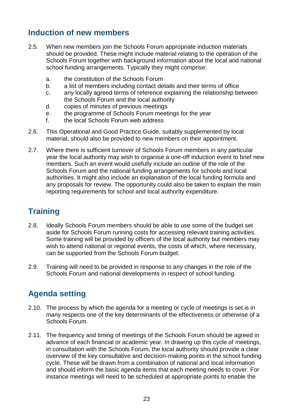# <span id="page-23-0"></span>**Induction of new members**

- 2.5. When new members join the Schools Forum appropriate induction materials should be provided. These might include material relating to the operation of the Schools Forum together with background information about the local and national school funding arrangements. Typically they might comprise:
	- a. the constitution of the Schools Forum
	- b. a list of members including contact details and their terms of office
	- c. any locally agreed terms of reference explaining the relationship between the Schools Forum and the local authority
	- d. copies of minutes of previous meetings
	- e. the programme of Schools Forum meetings for the year
	- f. the local Schools Forum web address
- 2.6. This Operational and Good Practice Guide, suitably supplemented by local material, should also be provided to new members on their appointment.
- 2.7. Where there is sufficient turnover of Schools Forum members in any particular year the local authority may wish to organise a one-off induction event to brief new members. Such an event would usefully include an outline of the role of the Schools Forum and the national funding arrangements for schools and local authorities. It might also include an explanation of the local funding formula and any proposals for review. The opportunity could also be taken to explain the main reporting requirements for school and local authority expenditure.

# <span id="page-23-1"></span>**Training**

- 2.8. Ideally Schools Forum members should be able to use some of the budget set aside for Schools Forum running costs for accessing relevant training activities. Some training will be provided by officers of the local authority but members may wish to attend national or regional events, the costs of which, where necessary, can be supported from the Schools Forum budget.
- 2.9. Training will need to be provided in response to any changes in the role of the Schools Forum and national developments in respect of school funding.

# <span id="page-23-2"></span>**Agenda setting**

- 2.10. The process by which the agenda for a meeting or cycle of meetings is set is in many respects one of the key determinants of the effectiveness or otherwise of a Schools Forum.
- 2.11. The frequency and timing of meetings of the Schools Forum should be agreed in advance of each financial or academic year. In drawing up this cycle of meetings, in consultation with the Schools Forum, the local authority should provide a clear overview of the key consultative and decision-making points in the school funding cycle. These will be drawn from a combination of national and local information and should inform the basic agenda items that each meeting needs to cover. For instance meetings will need to be scheduled at appropriate points to enable the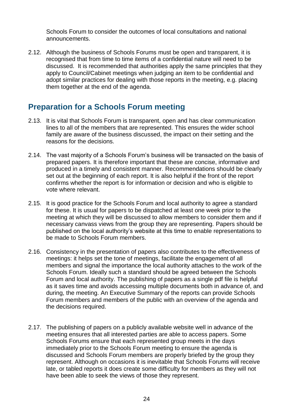Schools Forum to consider the outcomes of local consultations and national announcements.

2.12. Although the business of Schools Forums must be open and transparent, it is recognised that from time to time items of a confidential nature will need to be discussed. It is recommended that authorities apply the same principles that they apply to Council/Cabinet meetings when judging an item to be confidential and adopt similar practices for dealing with those reports in the meeting, e.g. placing them together at the end of the agenda.

#### <span id="page-24-0"></span>**Preparation for a Schools Forum meeting**

- 2.13. It is vital that Schools Forum is transparent, open and has clear communication lines to all of the members that are represented. This ensures the wider school family are aware of the business discussed, the impact on their setting and the reasons for the decisions.
- 2.14. The vast majority of a Schools Forum's business will be transacted on the basis of prepared papers. It is therefore important that these are concise, informative and produced in a timely and consistent manner. Recommendations should be clearly set out at the beginning of each report. It is also helpful if the front of the report confirms whether the report is for information or decision and who is eligible to vote where relevant.
- 2.15. It is good practice for the Schools Forum and local authority to agree a standard for these. It is usual for papers to be dispatched at least one week prior to the meeting at which they will be discussed to allow members to consider them and if necessary canvass views from the group they are representing. Papers should be published on the local authority's website at this time to enable representations to be made to Schools Forum members.
- 2.16. Consistency in the presentation of papers also contributes to the effectiveness of meetings: it helps set the tone of meetings, facilitate the engagement of all members and signal the importance the local authority attaches to the work of the Schools Forum. Ideally such a standard should be agreed between the Schools Forum and local authority. The publishing of papers as a single pdf file is helpful as it saves time and avoids accessing multiple documents both in advance of, and during, the meeting. An Executive Summary of the reports can provide Schools Forum members and members of the public with an overview of the agenda and the decisions required.
- 2.17. The publishing of papers on a publicly available website well in advance of the meeting ensures that all interested parties are able to access papers. Some Schools Forums ensure that each represented group meets in the days immediately prior to the Schools Forum meeting to ensure the agenda is discussed and Schools Forum members are properly briefed by the group they represent. Although on occasions it is inevitable that Schools Forums will receive late, or tabled reports it does create some difficulty for members as they will not have been able to seek the views of those they represent.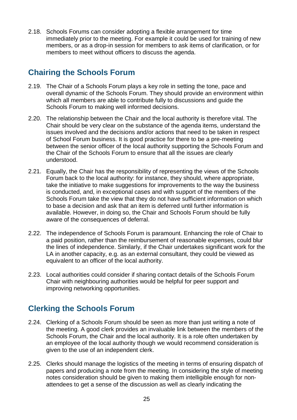2.18. Schools Forums can consider adopting a flexible arrangement for time immediately prior to the meeting. For example it could be used for training of new members, or as a drop-in session for members to ask items of clarification, or for members to meet without officers to discuss the agenda.

# <span id="page-25-0"></span>**Chairing the Schools Forum**

- 2.19. The Chair of a Schools Forum plays a key role in setting the tone, pace and overall dynamic of the Schools Forum. They should provide an environment within which all members are able to contribute fully to discussions and guide the Schools Forum to making well informed decisions.
- 2.20. The relationship between the Chair and the local authority is therefore vital. The Chair should be very clear on the substance of the agenda items, understand the issues involved and the decisions and/or actions that need to be taken in respect of School Forum business. It is good practice for there to be a pre-meeting between the senior officer of the local authority supporting the Schools Forum and the Chair of the Schools Forum to ensure that all the issues are clearly understood.
- 2.21. Equally, the Chair has the responsibility of representing the views of the Schools Forum back to the local authority: for instance, they should, where appropriate, take the initiative to make suggestions for improvements to the way the business is conducted, and, in exceptional cases and with support of the members of the Schools Forum take the view that they do not have sufficient information on which to base a decision and ask that an item is deferred until further information is available. However, in doing so, the Chair and Schools Forum should be fully aware of the consequences of deferral.
- 2.22. The independence of Schools Forum is paramount. Enhancing the role of Chair to a paid position, rather than the reimbursement of reasonable expenses, could blur the lines of independence. Similarly, if the Chair undertakes significant work for the LA in another capacity, e.g. as an external consultant, they could be viewed as equivalent to an officer of the local authority.
- 2.23. Local authorities could consider if sharing contact details of the Schools Forum Chair with neighbouring authorities would be helpful for peer support and improving networking opportunities.

# <span id="page-25-1"></span>**Clerking the Schools Forum**

- 2.24. Clerking of a Schools Forum should be seen as more than just writing a note of the meeting. A good clerk provides an invaluable link between the members of the Schools Forum, the Chair and the local authority. It is a role often undertaken by an employee of the local authority though we would recommend consideration is given to the use of an independent clerk.
- 2.25. Clerks should manage the logistics of the meeting in terms of ensuring dispatch of papers and producing a note from the meeting. In considering the style of meeting notes consideration should be given to making them intelligible enough for nonattendees to get a sense of the discussion as well as clearly indicating the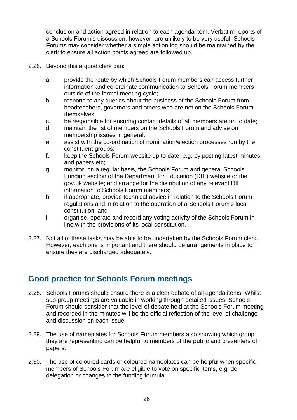conclusion and action agreed in relation to each agenda item. Verbatim reports of a Schools Forum's discussion, however, are unlikely to be very useful. Schools Forums may consider whether a simple action log should be maintained by the clerk to ensure all action points agreed are followed up.

- 2.26. Beyond this a good clerk can:
	- a. provide the route by which Schools Forum members can access further information and co-ordinate communication to Schools Forum members outside of the formal meeting cycle;
	- b. respond to any queries about the business of the Schools Forum from headteachers, governors and others who are not on the Schools Forum themselves;
	- c. be responsible for ensuring contact details of all members are up to date;
	- d. maintain the list of members on the Schools Forum and advise on membership issues in general;
	- e. assist with the co-ordination of nomination/election processes run by the constituent groups;
	- f. keep the Schools Forum website up to date: e.g. by posting latest minutes and papers etc;
	- g. monitor, on a regular basis, the Schools Forum and general Schools Funding section of the Department for Education (DfE) website or the gov.uk website; and arrange for the distribution of any relevant DfE information to Schools Forum members;
	- h. if appropriate, provide technical advice in relation to the Schools Forum regulations and in relation to the operation of a Schools Forum's local constitution; and
	- i. organise, operate and record any voting activity of the Schools Forum in line with the provisions of its local constitution.
- 2.27. Not all of these tasks may be able to be undertaken by the Schools Forum clerk. However, each one is important and there should be arrangements in place to ensure they are discharged adequately.

#### <span id="page-26-0"></span>**Good practice for Schools Forum meetings**

- 2.28. Schools Forums should ensure there is a clear debate of all agenda items. Whilst sub-group meetings are valuable in working through detailed issues, Schools Forum should consider that the level of debate held at the Schools Forum meeting and recorded in the minutes will be the official reflection of the level of challenge and discussion on each issue.
- 2.29. The use of nameplates for Schools Forum members also showing which group they are representing can be helpful to members of the public and presenters of papers.
- 2.30. The use of coloured cards or coloured nameplates can be helpful when specific members of Schools Forum are eligible to vote on specific items, e.g. dedelegation or changes to the funding formula.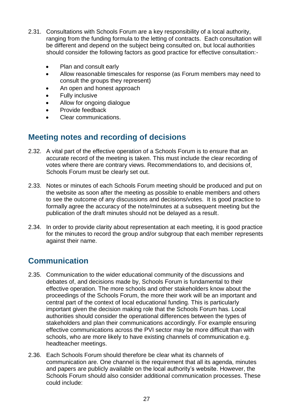- 2.31. Consultations with Schools Forum are a key responsibility of a local authority, ranging from the funding formula to the letting of contracts. Each consultation will be different and depend on the subject being consulted on, but local authorities should consider the following factors as good practice for effective consultation:-
	- Plan and consult early
	- Allow reasonable timescales for response (as Forum members may need to consult the groups they represent)
	- An open and honest approach
	- Fully inclusive
	- Allow for ongoing dialogue
	- Provide feedback
	- Clear communications.

# <span id="page-27-0"></span>**Meeting notes and recording of decisions**

- 2.32. A vital part of the effective operation of a Schools Forum is to ensure that an accurate record of the meeting is taken. This must include the clear recording of votes where there are contrary views. Recommendations to, and decisions of, Schools Forum must be clearly set out.
- 2.33. Notes or minutes of each Schools Forum meeting should be produced and put on the website as soon after the meeting as possible to enable members and others to see the outcome of any discussions and decisions/votes. It is good practice to formally agree the accuracy of the note/minutes at a subsequent meeting but the publication of the draft minutes should not be delayed as a result.
- 2.34. In order to provide clarity about representation at each meeting, it is good practice for the minutes to record the group and/or subgroup that each member represents against their name.

# <span id="page-27-1"></span>**Communication**

- 2.35. Communication to the wider educational community of the discussions and debates of, and decisions made by, Schools Forum is fundamental to their effective operation. The more schools and other stakeholders know about the proceedings of the Schools Forum, the more their work will be an important and central part of the context of local educational funding. This is particularly important given the decision making role that the Schools Forum has. Local authorities should consider the operational differences between the types of stakeholders and plan their communications accordingly. For example ensuring effective communications across the PVI sector may be more difficult than with schools, who are more likely to have existing channels of communication e.g. headteacher meetings.
- 2.36. Each Schools Forum should therefore be clear what its channels of communication are. One channel is the requirement that all its agenda, minutes and papers are publicly available on the local authority's website. However, the Schools Forum should also consider additional communication processes. These could include: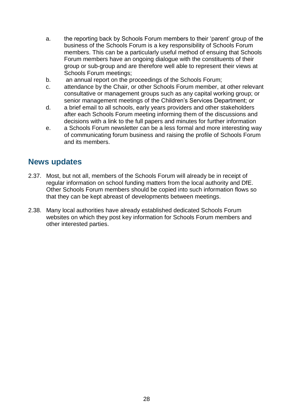- a. the reporting back by Schools Forum members to their 'parent' group of the business of the Schools Forum is a key responsibility of Schools Forum members. This can be a particularly useful method of ensuing that Schools Forum members have an ongoing dialogue with the constituents of their group or sub-group and are therefore well able to represent their views at Schools Forum meetings;
- b. an annual report on the proceedings of the Schools Forum;
- c. attendance by the Chair, or other Schools Forum member, at other relevant consultative or management groups such as any capital working group; or senior management meetings of the Children's Services Department; or
- d. a brief email to all schools, early years providers and other stakeholders after each Schools Forum meeting informing them of the discussions and decisions with a link to the full papers and minutes for further information
- e. a Schools Forum newsletter can be a less formal and more interesting way of communicating forum business and raising the profile of Schools Forum and its members.

#### <span id="page-28-0"></span>**News updates**

- 2.37. Most, but not all, members of the Schools Forum will already be in receipt of regular information on school funding matters from the local authority and DfE. Other Schools Forum members should be copied into such information flows so that they can be kept abreast of developments between meetings.
- 2.38. Many local authorities have already established dedicated Schools Forum websites on which they post key information for Schools Forum members and other interested parties.